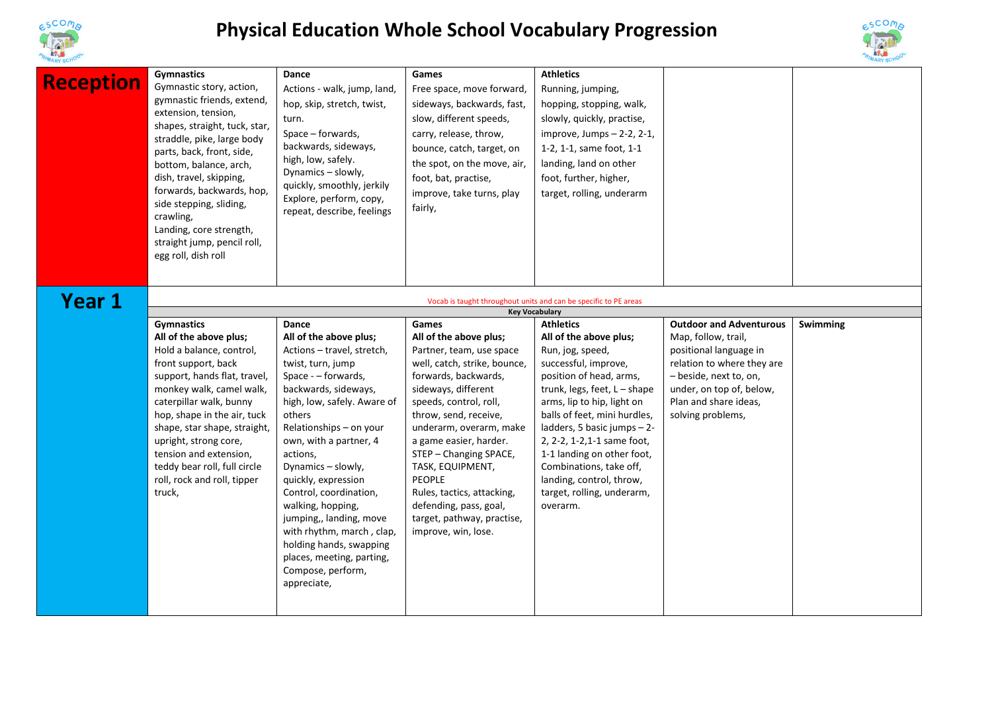

## **Physical Education Whole School Vocabulary Progression**



| <b>MARY SCHO</b> |                                                                                                                                                                                                                                                                                                                                                                                                    |                                                                                                                                                                                                                                                                                                                                                                                                                                                                                             |                                                                                                                                                                                                                                                                                                                                                                                                                                |                                                                                                                                                                                                                                                                                                                                                                                                              |                                                                                                                                                                                                                   | <b>MARY SCHO</b> |
|------------------|----------------------------------------------------------------------------------------------------------------------------------------------------------------------------------------------------------------------------------------------------------------------------------------------------------------------------------------------------------------------------------------------------|---------------------------------------------------------------------------------------------------------------------------------------------------------------------------------------------------------------------------------------------------------------------------------------------------------------------------------------------------------------------------------------------------------------------------------------------------------------------------------------------|--------------------------------------------------------------------------------------------------------------------------------------------------------------------------------------------------------------------------------------------------------------------------------------------------------------------------------------------------------------------------------------------------------------------------------|--------------------------------------------------------------------------------------------------------------------------------------------------------------------------------------------------------------------------------------------------------------------------------------------------------------------------------------------------------------------------------------------------------------|-------------------------------------------------------------------------------------------------------------------------------------------------------------------------------------------------------------------|------------------|
| <b>Reception</b> | Gymnastics<br>Gymnastic story, action,<br>gymnastic friends, extend,<br>extension, tension,<br>shapes, straight, tuck, star,<br>straddle, pike, large body<br>parts, back, front, side,<br>bottom, balance, arch,<br>dish, travel, skipping,<br>forwards, backwards, hop,<br>side stepping, sliding,<br>crawling,<br>Landing, core strength,<br>straight jump, pencil roll,<br>egg roll, dish roll | Dance<br>Actions - walk, jump, land,<br>hop, skip, stretch, twist,<br>turn.<br>Space – forwards,<br>backwards, sideways,<br>high, low, safely.<br>Dynamics - slowly,<br>quickly, smoothly, jerkily<br>Explore, perform, copy,<br>repeat, describe, feelings                                                                                                                                                                                                                                 | Games<br>Free space, move forward,<br>sideways, backwards, fast,<br>slow, different speeds,<br>carry, release, throw,<br>bounce, catch, target, on<br>the spot, on the move, air,<br>foot, bat, practise,<br>improve, take turns, play<br>fairly,                                                                                                                                                                              | <b>Athletics</b><br>Running, jumping,<br>hopping, stopping, walk,<br>slowly, quickly, practise,<br>improve, Jumps $-2-2$ , $2-1$ ,<br>1-2, 1-1, same foot, 1-1<br>landing, land on other<br>foot, further, higher,<br>target, rolling, underarm                                                                                                                                                              |                                                                                                                                                                                                                   |                  |
| Year 1           |                                                                                                                                                                                                                                                                                                                                                                                                    |                                                                                                                                                                                                                                                                                                                                                                                                                                                                                             |                                                                                                                                                                                                                                                                                                                                                                                                                                | Vocab is taught throughout units and can be specific to PE areas                                                                                                                                                                                                                                                                                                                                             |                                                                                                                                                                                                                   |                  |
|                  |                                                                                                                                                                                                                                                                                                                                                                                                    |                                                                                                                                                                                                                                                                                                                                                                                                                                                                                             |                                                                                                                                                                                                                                                                                                                                                                                                                                | <b>Key Vocabulary</b>                                                                                                                                                                                                                                                                                                                                                                                        |                                                                                                                                                                                                                   |                  |
|                  | <b>Gymnastics</b><br>All of the above plus;<br>Hold a balance, control,<br>front support, back<br>support, hands flat, travel,<br>monkey walk, camel walk,<br>caterpillar walk, bunny<br>hop, shape in the air, tuck<br>shape, star shape, straight,<br>upright, strong core,<br>tension and extension,<br>teddy bear roll, full circle<br>roll, rock and roll, tipper<br>truck,                   | Dance<br>All of the above plus;<br>Actions - travel, stretch,<br>twist, turn, jump<br>Space - - forwards,<br>backwards, sideways,<br>high, low, safely. Aware of<br>others<br>Relationships - on your<br>own, with a partner, 4<br>actions,<br>Dynamics - slowly,<br>quickly, expression<br>Control, coordination,<br>walking, hopping,<br>jumping,, landing, move<br>with rhythm, march, clap,<br>holding hands, swapping<br>places, meeting, parting,<br>Compose, perform,<br>appreciate, | Games<br>All of the above plus;<br>Partner, team, use space<br>well, catch, strike, bounce,<br>forwards, backwards,<br>sideways, different<br>speeds, control, roll,<br>throw, send, receive,<br>underarm, overarm, make<br>a game easier, harder.<br>STEP - Changing SPACE,<br>TASK, EQUIPMENT,<br><b>PEOPLE</b><br>Rules, tactics, attacking,<br>defending, pass, goal,<br>target, pathway, practise,<br>improve, win, lose. | <b>Athletics</b><br>All of the above plus;<br>Run, jog, speed,<br>successful, improve,<br>position of head, arms,<br>trunk, legs, feet, L - shape<br>arms, lip to hip, light on<br>balls of feet, mini hurdles,<br>ladders, 5 basic jumps - 2-<br>2, 2-2, 1-2, 1-1 same foot,<br>1-1 landing on other foot,<br>Combinations, take off,<br>landing, control, throw,<br>target, rolling, underarm,<br>overarm. | <b>Outdoor and Adventurous</b><br>Map, follow, trail,<br>positional language in<br>relation to where they are<br>- beside, next to, on,<br>under, on top of, below,<br>Plan and share ideas,<br>solving problems, | <b>Swimming</b>  |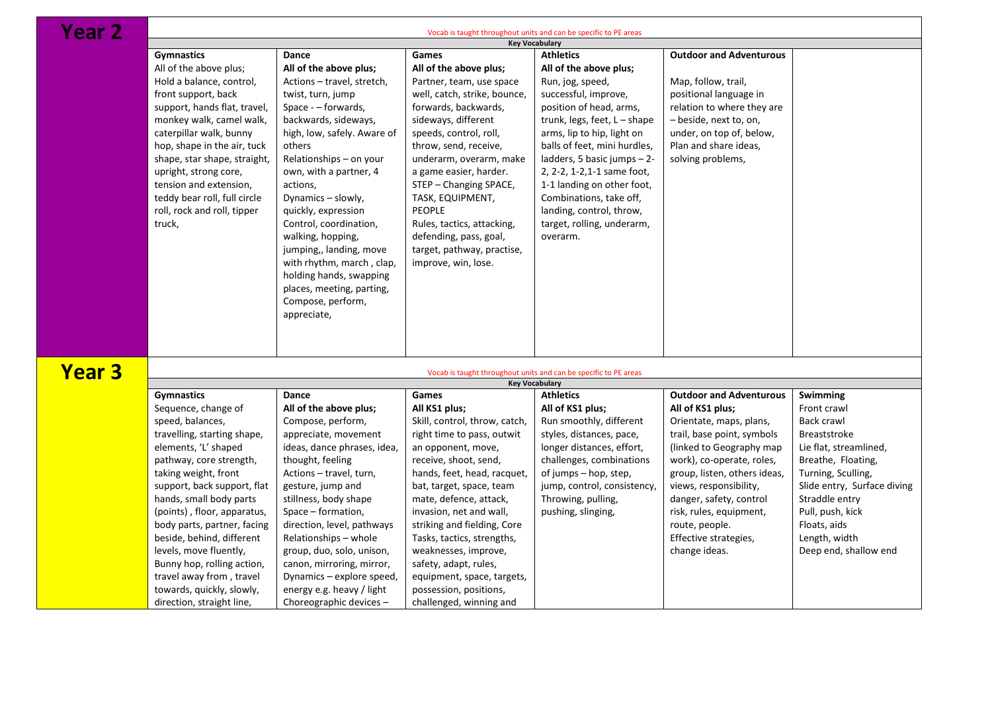**Year 2** 

| rear z        | Vocab is taught throughout units and can be specific to PE areas<br><b>Key Vocabulary</b> |                             |                                                                  |                                |                                |                             |  |
|---------------|-------------------------------------------------------------------------------------------|-----------------------------|------------------------------------------------------------------|--------------------------------|--------------------------------|-----------------------------|--|
|               |                                                                                           |                             |                                                                  |                                |                                |                             |  |
|               | <b>Gymnastics</b>                                                                         | Dance                       | Games                                                            | <b>Athletics</b>               | <b>Outdoor and Adventurous</b> |                             |  |
|               | All of the above plus;                                                                    | All of the above plus;      | All of the above plus;                                           | All of the above plus;         |                                |                             |  |
|               | Hold a balance, control,                                                                  | Actions - travel, stretch,  | Partner, team, use space                                         | Run, jog, speed,               | Map, follow, trail,            |                             |  |
|               | front support, back                                                                       | twist, turn, jump           | well, catch, strike, bounce,                                     | successful, improve,           | positional language in         |                             |  |
|               | support, hands flat, travel,                                                              | Space - - forwards,         | forwards, backwards,                                             | position of head, arms,        | relation to where they are     |                             |  |
|               | monkey walk, camel walk,                                                                  | backwards, sideways,        | sideways, different                                              | trunk, legs, feet, $L - shape$ | - beside, next to, on,         |                             |  |
|               | caterpillar walk, bunny                                                                   | high, low, safely. Aware of | speeds, control, roll,                                           | arms, lip to hip, light on     | under, on top of, below,       |                             |  |
|               | hop, shape in the air, tuck                                                               | others                      | throw, send, receive,                                            | balls of feet, mini hurdles,   | Plan and share ideas,          |                             |  |
|               | shape, star shape, straight,                                                              | Relationships - on your     | underarm, overarm, make                                          | ladders, 5 basic jumps $-2$ -  | solving problems,              |                             |  |
|               | upright, strong core,                                                                     | own, with a partner, 4      | a game easier, harder.                                           | 2, 2-2, 1-2, 1-1 same foot,    |                                |                             |  |
|               | tension and extension,                                                                    | actions,                    | STEP – Changing SPACE,                                           | 1-1 landing on other foot,     |                                |                             |  |
|               | teddy bear roll, full circle                                                              | Dynamics - slowly,          | TASK, EQUIPMENT,                                                 | Combinations, take off,        |                                |                             |  |
|               | roll, rock and roll, tipper                                                               | quickly, expression         | <b>PEOPLE</b>                                                    | landing, control, throw,       |                                |                             |  |
|               |                                                                                           |                             |                                                                  |                                |                                |                             |  |
|               | truck,                                                                                    | Control, coordination,      | Rules, tactics, attacking,                                       | target, rolling, underarm,     |                                |                             |  |
|               |                                                                                           | walking, hopping,           | defending, pass, goal,                                           | overarm.                       |                                |                             |  |
|               |                                                                                           | jumping,, landing, move     | target, pathway, practise,                                       |                                |                                |                             |  |
|               |                                                                                           | with rhythm, march, clap,   | improve, win, lose.                                              |                                |                                |                             |  |
|               |                                                                                           | holding hands, swapping     |                                                                  |                                |                                |                             |  |
|               |                                                                                           | places, meeting, parting,   |                                                                  |                                |                                |                             |  |
|               |                                                                                           | Compose, perform,           |                                                                  |                                |                                |                             |  |
|               |                                                                                           | appreciate,                 |                                                                  |                                |                                |                             |  |
|               |                                                                                           |                             |                                                                  |                                |                                |                             |  |
|               |                                                                                           |                             |                                                                  |                                |                                |                             |  |
|               |                                                                                           |                             |                                                                  |                                |                                |                             |  |
| <b>Year 3</b> |                                                                                           |                             | Vocab is taught throughout units and can be specific to PE areas |                                |                                |                             |  |
|               |                                                                                           |                             |                                                                  | <b>Key Vocabulary</b>          |                                |                             |  |
|               | <b>Gymnastics</b>                                                                         | Dance                       | Games                                                            | <b>Athletics</b>               | <b>Outdoor and Adventurous</b> | Swimming                    |  |
|               | Sequence, change of                                                                       | All of the above plus;      | All KS1 plus;                                                    | All of KS1 plus;               | All of KS1 plus;               | Front crawl                 |  |
|               | speed, balances,                                                                          | Compose, perform,           | Skill, control, throw, catch,                                    | Run smoothly, different        | Orientate, maps, plans,        | Back crawl                  |  |
|               | travelling, starting shape,                                                               | appreciate, movement        | right time to pass, outwit                                       | styles, distances, pace,       | trail, base point, symbols     | <b>Breaststroke</b>         |  |
|               | elements, 'L' shaped                                                                      | ideas, dance phrases, idea, | an opponent, move,                                               | longer distances, effort,      | (linked to Geography map       | Lie flat, streamlined,      |  |
|               | pathway, core strength,                                                                   | thought, feeling            | receive, shoot, send,                                            | challenges, combinations       | work), co-operate, roles,      | Breathe, Floating,          |  |
|               | taking weight, front                                                                      | Actions - travel, turn,     | hands, feet, head, racquet,                                      | of jumps – hop, step,          | group, listen, others ideas,   | Turning, Sculling,          |  |
|               | support, back support, flat                                                               |                             |                                                                  | jump, control, consistency,    | views, responsibility,         | Slide entry, Surface diving |  |
|               |                                                                                           | gesture, jump and           | bat, target, space, team                                         |                                |                                |                             |  |
|               | hands, small body parts                                                                   | stillness, body shape       | mate, defence, attack,                                           | Throwing, pulling,             | danger, safety, control        | Straddle entry              |  |
|               | (points), floor, apparatus,                                                               | Space – formation,          | invasion, net and wall,                                          | pushing, slinging,             | risk, rules, equipment,        | Pull, push, kick            |  |
|               | body parts, partner, facing                                                               | direction, level, pathways  | striking and fielding, Core                                      |                                | route, people.                 | Floats, aids                |  |
|               | beside, behind, different                                                                 | Relationships - whole       | Tasks, tactics, strengths,                                       |                                | Effective strategies,          | Length, width               |  |
|               | levels, move fluently,                                                                    | group, duo, solo, unison,   | weaknesses, improve,                                             |                                | change ideas.                  | Deep end, shallow end       |  |
|               | Bunny hop, rolling action,                                                                | canon, mirroring, mirror,   | safety, adapt, rules,                                            |                                |                                |                             |  |
|               | travel away from, travel                                                                  | Dynamics - explore speed,   | equipment, space, targets,                                       |                                |                                |                             |  |
|               | towards, quickly, slowly,                                                                 | energy e.g. heavy / light   | possession, positions,                                           |                                |                                |                             |  |
|               | direction, straight line,                                                                 | Choreographic devices -     | challenged, winning and                                          |                                |                                |                             |  |
|               |                                                                                           |                             |                                                                  |                                |                                |                             |  |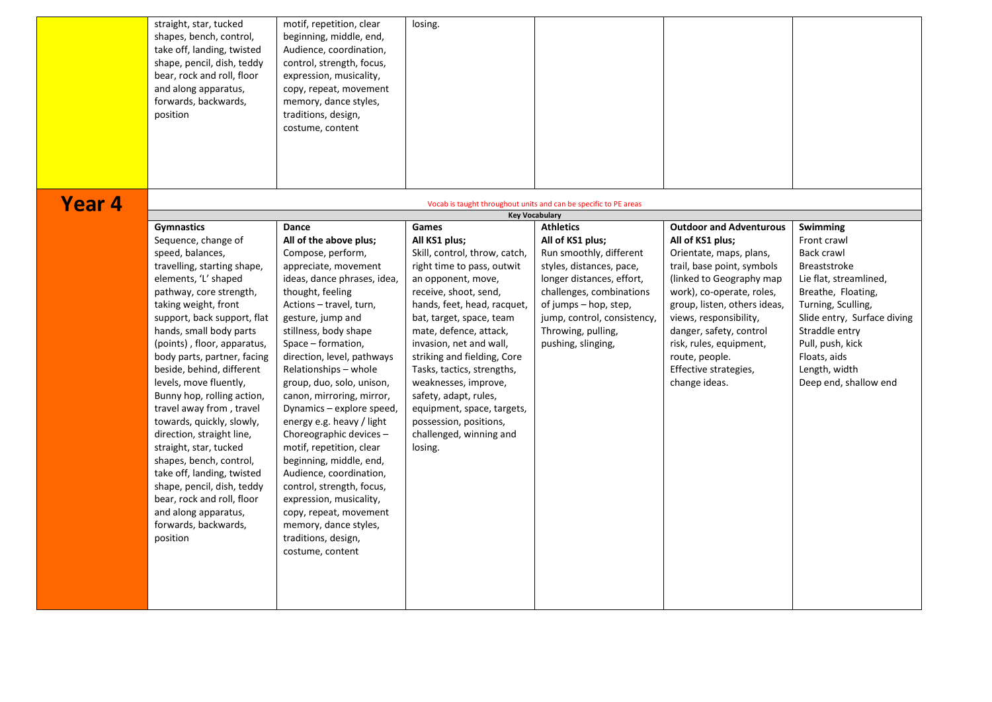|        | straight, star, tucked<br>shapes, bench, control,<br>take off, landing, twisted<br>shape, pencil, dish, teddy<br>bear, rock and roll, floor<br>and along apparatus,<br>forwards, backwards, | motif, repetition, clear<br>beginning, middle, end,<br>Audience, coordination,<br>control, strength, focus,<br>expression, musicality,<br>copy, repeat, movement<br>memory, dance styles, | losing.                                           |                                                                                           |                                                    |                                    |
|--------|---------------------------------------------------------------------------------------------------------------------------------------------------------------------------------------------|-------------------------------------------------------------------------------------------------------------------------------------------------------------------------------------------|---------------------------------------------------|-------------------------------------------------------------------------------------------|----------------------------------------------------|------------------------------------|
|        | position                                                                                                                                                                                    | traditions, design,<br>costume, content                                                                                                                                                   |                                                   |                                                                                           |                                                    |                                    |
| Year 4 |                                                                                                                                                                                             |                                                                                                                                                                                           |                                                   | Vocab is taught throughout units and can be specific to PE areas<br><b>Key Vocabulary</b> |                                                    |                                    |
|        | <b>Gymnastics</b>                                                                                                                                                                           | Dance                                                                                                                                                                                     | Games                                             | <b>Athletics</b>                                                                          | <b>Outdoor and Adventurous</b>                     | <b>Swimming</b>                    |
|        | Sequence, change of                                                                                                                                                                         | All of the above plus;                                                                                                                                                                    | All KS1 plus;                                     | All of KS1 plus;                                                                          | All of KS1 plus;                                   | Front crawl                        |
|        | speed, balances,                                                                                                                                                                            | Compose, perform,                                                                                                                                                                         | Skill, control, throw, catch,                     | Run smoothly, different                                                                   | Orientate, maps, plans,                            | Back crawl                         |
|        | travelling, starting shape,                                                                                                                                                                 | appreciate, movement                                                                                                                                                                      | right time to pass, outwit                        | styles, distances, pace,                                                                  | trail, base point, symbols                         | Breaststroke                       |
|        | elements, 'L' shaped                                                                                                                                                                        | ideas, dance phrases, idea,                                                                                                                                                               | an opponent, move,                                | longer distances, effort,                                                                 | (linked to Geography map)                          | Lie flat, streamlined,             |
|        | pathway, core strength,                                                                                                                                                                     | thought, feeling                                                                                                                                                                          | receive, shoot, send,                             | challenges, combinations                                                                  | work), co-operate, roles,                          | Breathe, Floating,                 |
|        | taking weight, front                                                                                                                                                                        | Actions - travel, turn,                                                                                                                                                                   | hands, feet, head, racquet,                       | of jumps – hop, step,                                                                     | group, listen, others ideas,                       | Turning, Sculling,                 |
|        | support, back support, flat                                                                                                                                                                 | gesture, jump and                                                                                                                                                                         | bat, target, space, team                          | jump, control, consistency,                                                               | views, responsibility,                             | Slide entry, Surface diving        |
|        | hands, small body parts<br>(points), floor, apparatus,                                                                                                                                      | stillness, body shape<br>Space – formation,                                                                                                                                               | mate, defence, attack,<br>invasion, net and wall, | Throwing, pulling,<br>pushing, slinging,                                                  | danger, safety, control<br>risk, rules, equipment, | Straddle entry<br>Pull, push, kick |
|        | body parts, partner, facing                                                                                                                                                                 | direction, level, pathways                                                                                                                                                                | striking and fielding, Core                       |                                                                                           | route, people.                                     | Floats, aids                       |
|        | beside, behind, different                                                                                                                                                                   | Relationships – whole                                                                                                                                                                     | Tasks, tactics, strengths,                        |                                                                                           | Effective strategies,                              | Length, width                      |
|        | levels, move fluently,                                                                                                                                                                      | group, duo, solo, unison,                                                                                                                                                                 | weaknesses, improve,                              |                                                                                           | change ideas.                                      | Deep end, shallow end              |
|        | Bunny hop, rolling action,                                                                                                                                                                  | canon, mirroring, mirror,                                                                                                                                                                 | safety, adapt, rules,                             |                                                                                           |                                                    |                                    |
|        | travel away from, travel                                                                                                                                                                    | Dynamics - explore speed,                                                                                                                                                                 | equipment, space, targets,                        |                                                                                           |                                                    |                                    |
|        | towards, quickly, slowly,                                                                                                                                                                   | energy e.g. heavy / light                                                                                                                                                                 | possession, positions,                            |                                                                                           |                                                    |                                    |
|        | direction, straight line,<br>straight, star, tucked                                                                                                                                         | Choreographic devices -<br>motif, repetition, clear                                                                                                                                       | challenged, winning and<br>losing.                |                                                                                           |                                                    |                                    |
|        | shapes, bench, control,                                                                                                                                                                     | beginning, middle, end,                                                                                                                                                                   |                                                   |                                                                                           |                                                    |                                    |
|        | take off, landing, twisted                                                                                                                                                                  | Audience, coordination,                                                                                                                                                                   |                                                   |                                                                                           |                                                    |                                    |
|        | shape, pencil, dish, teddy                                                                                                                                                                  | control, strength, focus,                                                                                                                                                                 |                                                   |                                                                                           |                                                    |                                    |
|        | bear, rock and roll, floor                                                                                                                                                                  | expression, musicality,                                                                                                                                                                   |                                                   |                                                                                           |                                                    |                                    |
|        | and along apparatus,                                                                                                                                                                        | copy, repeat, movement                                                                                                                                                                    |                                                   |                                                                                           |                                                    |                                    |
|        | forwards, backwards,                                                                                                                                                                        | memory, dance styles,                                                                                                                                                                     |                                                   |                                                                                           |                                                    |                                    |
|        | position                                                                                                                                                                                    | traditions, design,                                                                                                                                                                       |                                                   |                                                                                           |                                                    |                                    |
|        |                                                                                                                                                                                             | costume, content                                                                                                                                                                          |                                                   |                                                                                           |                                                    |                                    |
|        |                                                                                                                                                                                             |                                                                                                                                                                                           |                                                   |                                                                                           |                                                    |                                    |
|        |                                                                                                                                                                                             |                                                                                                                                                                                           |                                                   |                                                                                           |                                                    |                                    |
|        |                                                                                                                                                                                             |                                                                                                                                                                                           |                                                   |                                                                                           |                                                    |                                    |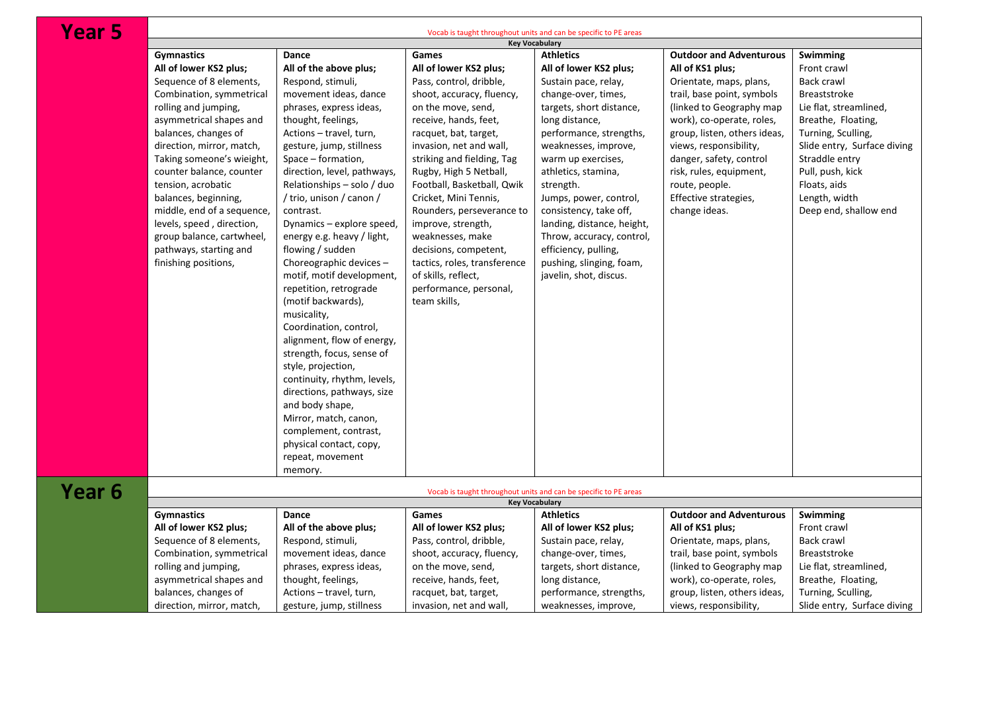## Year 5

| <u>rear 5</u> | Vocab is taught throughout units and can be specific to PE areas |                             |                                                                  |                            |                                |                             |  |  |
|---------------|------------------------------------------------------------------|-----------------------------|------------------------------------------------------------------|----------------------------|--------------------------------|-----------------------------|--|--|
|               | <b>Key Vocabulary</b>                                            |                             |                                                                  |                            |                                |                             |  |  |
|               | <b>Gymnastics</b>                                                | Dance                       | Games                                                            | <b>Athletics</b>           | <b>Outdoor and Adventurous</b> | Swimming                    |  |  |
|               | All of lower KS2 plus;                                           | All of the above plus;      | All of lower KS2 plus;                                           | All of lower KS2 plus;     | All of KS1 plus;               | Front crawl                 |  |  |
|               | Sequence of 8 elements,                                          | Respond, stimuli,           | Pass, control, dribble,                                          | Sustain pace, relay,       | Orientate, maps, plans,        | Back crawl                  |  |  |
|               | Combination, symmetrical                                         | movement ideas, dance       | shoot, accuracy, fluency,                                        | change-over, times,        | trail, base point, symbols     | <b>Breaststroke</b>         |  |  |
|               | rolling and jumping,                                             | phrases, express ideas,     | on the move, send,                                               | targets, short distance,   | (linked to Geography map)      | Lie flat, streamlined,      |  |  |
|               | asymmetrical shapes and                                          | thought, feelings,          | receive, hands, feet,                                            | long distance,             | work), co-operate, roles,      | Breathe, Floating,          |  |  |
|               | balances, changes of                                             | Actions - travel, turn,     | racquet, bat, target,                                            | performance, strengths,    | group, listen, others ideas,   | Turning, Sculling,          |  |  |
|               | direction, mirror, match,                                        | gesture, jump, stillness    | invasion, net and wall,                                          | weaknesses, improve,       | views, responsibility,         | Slide entry, Surface diving |  |  |
|               | Taking someone's wieight,                                        | Space – formation,          | striking and fielding, Tag                                       | warm up exercises,         | danger, safety, control        | Straddle entry              |  |  |
|               | counter balance, counter                                         | direction, level, pathways, | Rugby, High 5 Netball,                                           | athletics, stamina,        | risk, rules, equipment,        | Pull, push, kick            |  |  |
|               | tension, acrobatic                                               | Relationships - solo / duo  | Football, Basketball, Qwik                                       | strength.                  | route, people.                 | Floats, aids                |  |  |
|               |                                                                  |                             |                                                                  |                            |                                |                             |  |  |
|               | balances, beginning,                                             | / trio, unison / canon /    | Cricket, Mini Tennis,                                            | Jumps, power, control,     | Effective strategies,          | Length, width               |  |  |
|               | middle, end of a sequence,                                       | contrast.                   | Rounders, perseverance to                                        | consistency, take off,     | change ideas.                  | Deep end, shallow end       |  |  |
|               | levels, speed, direction,                                        | Dynamics – explore speed,   | improve, strength,                                               | landing, distance, height, |                                |                             |  |  |
|               | group balance, cartwheel,                                        | energy e.g. heavy / light,  | weaknesses, make                                                 | Throw, accuracy, control,  |                                |                             |  |  |
|               | pathways, starting and                                           | flowing / sudden            | decisions, competent,                                            | efficiency, pulling,       |                                |                             |  |  |
|               | finishing positions,                                             | Choreographic devices -     | tactics, roles, transference                                     | pushing, slinging, foam,   |                                |                             |  |  |
|               |                                                                  | motif, motif development,   | of skills, reflect,                                              | javelin, shot, discus.     |                                |                             |  |  |
|               |                                                                  | repetition, retrograde      | performance, personal,                                           |                            |                                |                             |  |  |
|               |                                                                  | (motif backwards),          | team skills,                                                     |                            |                                |                             |  |  |
|               |                                                                  | musicality,                 |                                                                  |                            |                                |                             |  |  |
|               |                                                                  | Coordination, control,      |                                                                  |                            |                                |                             |  |  |
|               |                                                                  | alignment, flow of energy,  |                                                                  |                            |                                |                             |  |  |
|               |                                                                  | strength, focus, sense of   |                                                                  |                            |                                |                             |  |  |
|               |                                                                  |                             |                                                                  |                            |                                |                             |  |  |
|               |                                                                  | style, projection,          |                                                                  |                            |                                |                             |  |  |
|               |                                                                  | continuity, rhythm, levels, |                                                                  |                            |                                |                             |  |  |
|               |                                                                  | directions, pathways, size  |                                                                  |                            |                                |                             |  |  |
|               |                                                                  | and body shape,             |                                                                  |                            |                                |                             |  |  |
|               |                                                                  | Mirror, match, canon,       |                                                                  |                            |                                |                             |  |  |
|               |                                                                  | complement, contrast,       |                                                                  |                            |                                |                             |  |  |
|               |                                                                  | physical contact, copy,     |                                                                  |                            |                                |                             |  |  |
|               |                                                                  | repeat, movement            |                                                                  |                            |                                |                             |  |  |
|               |                                                                  | memory.                     |                                                                  |                            |                                |                             |  |  |
|               |                                                                  |                             |                                                                  |                            |                                |                             |  |  |
| Year 6        |                                                                  |                             | Vocab is taught throughout units and can be specific to PE areas |                            |                                |                             |  |  |
|               |                                                                  |                             | Games                                                            | <b>Key Vocabulary</b>      | <b>Outdoor and Adventurous</b> |                             |  |  |
|               | <b>Gymnastics</b>                                                | Dance                       |                                                                  | <b>Athletics</b>           |                                | Swimming                    |  |  |
|               | All of lower KS2 plus;                                           | All of the above plus;      | All of lower KS2 plus;                                           | All of lower KS2 plus;     | All of KS1 plus;               | Front crawl                 |  |  |
|               | Sequence of 8 elements,                                          | Respond, stimuli,           | Pass, control, dribble,                                          | Sustain pace, relay,       | Orientate, maps, plans,        | Back crawl                  |  |  |
|               | Combination, symmetrical                                         | movement ideas, dance       | shoot, accuracy, fluency,                                        | change-over, times,        | trail, base point, symbols     | <b>Breaststroke</b>         |  |  |
|               | rolling and jumping,                                             | phrases, express ideas,     | on the move, send,                                               | targets, short distance,   | (linked to Geography map)      | Lie flat, streamlined,      |  |  |
|               | asymmetrical shapes and                                          | thought, feelings,          | receive, hands, feet,                                            | long distance,             | work), co-operate, roles,      | Breathe, Floating,          |  |  |
|               | balances, changes of                                             | Actions - travel, turn,     | racquet, bat, target,                                            | performance, strengths,    | group, listen, others ideas,   | Turning, Sculling,          |  |  |
|               | direction, mirror, match,                                        | gesture, jump, stillness    | invasion, net and wall,                                          | weaknesses, improve,       | views, responsibility,         | Slide entry, Surface diving |  |  |